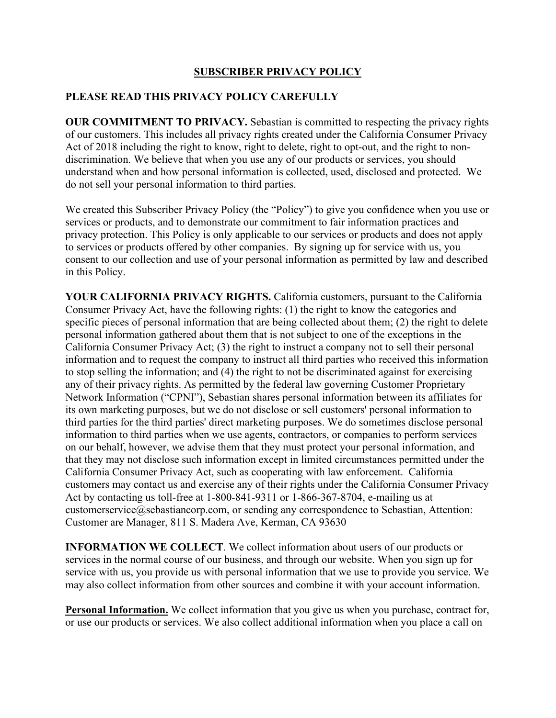## **SUBSCRIBER PRIVACY POLICY**

## **PLEASE READ THIS PRIVACY POLICY CAREFULLY**

**OUR COMMITMENT TO PRIVACY.** Sebastian is committed to respecting the privacy rights of our customers. This includes all privacy rights created under the California Consumer Privacy Act of 2018 including the right to know, right to delete, right to opt-out, and the right to nondiscrimination. We believe that when you use any of our products or services, you should understand when and how personal information is collected, used, disclosed and protected. We do not sell your personal information to third parties.

We created this Subscriber Privacy Policy (the "Policy") to give you confidence when you use or services or products, and to demonstrate our commitment to fair information practices and privacy protection. This Policy is only applicable to our services or products and does not apply to services or products offered by other companies. By signing up for service with us, you consent to our collection and use of your personal information as permitted by law and described in this Policy.

**YOUR CALIFORNIA PRIVACY RIGHTS.** California customers, pursuant to the California Consumer Privacy Act, have the following rights: (1) the right to know the categories and specific pieces of personal information that are being collected about them; (2) the right to delete personal information gathered about them that is not subject to one of the exceptions in the California Consumer Privacy Act; (3) the right to instruct a company not to sell their personal information and to request the company to instruct all third parties who received this information to stop selling the information; and (4) the right to not be discriminated against for exercising any of their privacy rights. As permitted by the federal law governing Customer Proprietary Network Information ("CPNI"), Sebastian shares personal information between its affiliates for its own marketing purposes, but we do not disclose or sell customers' personal information to third parties for the third parties' direct marketing purposes. We do sometimes disclose personal information to third parties when we use agents, contractors, or companies to perform services on our behalf, however, we advise them that they must protect your personal information, and that they may not disclose such information except in limited circumstances permitted under the California Consumer Privacy Act, such as cooperating with law enforcement. California customers may contact us and exercise any of their rights under the California Consumer Privacy Act by contacting us toll-free at 1-800-841-9311 or 1-866-367-8704, e-mailing us at customerservice@sebastiancorp.com, or sending any correspondence to Sebastian, Attention: Customer are Manager, 811 S. Madera Ave, Kerman, CA 93630

**INFORMATION WE COLLECT**. We collect information about users of our products or services in the normal course of our business, and through our website. When you sign up for service with us, you provide us with personal information that we use to provide you service. We may also collect information from other sources and combine it with your account information.

**Personal Information.** We collect information that you give us when you purchase, contract for, or use our products or services. We also collect additional information when you place a call on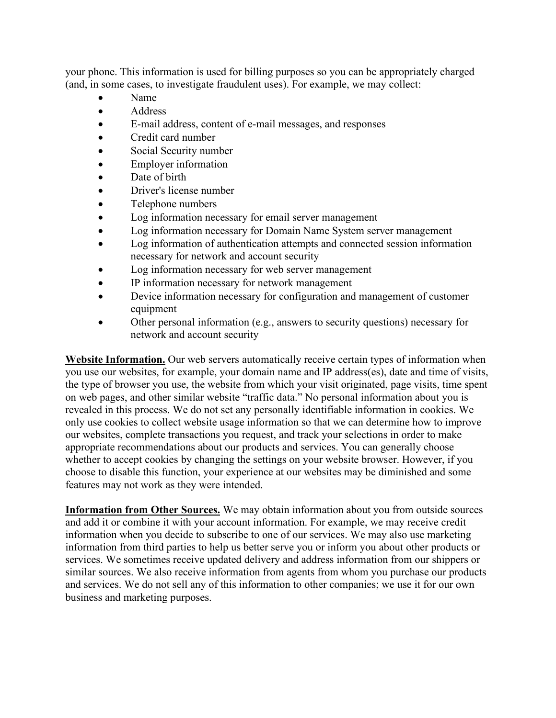your phone. This information is used for billing purposes so you can be appropriately charged (and, in some cases, to investigate fraudulent uses). For example, we may collect:

- Name
- Address
- E-mail address, content of e-mail messages, and responses
- Credit card number
- Social Security number
- Employer information
- Date of birth
- Driver's license number
- Telephone numbers
- Log information necessary for email server management
- Log information necessary for Domain Name System server management
- Log information of authentication attempts and connected session information necessary for network and account security
- Log information necessary for web server management
- IP information necessary for network management
- Device information necessary for configuration and management of customer equipment
- Other personal information (e.g., answers to security questions) necessary for network and account security

**Website Information.** Our web servers automatically receive certain types of information when you use our websites, for example, your domain name and IP address(es), date and time of visits, the type of browser you use, the website from which your visit originated, page visits, time spent on web pages, and other similar website "traffic data." No personal information about you is revealed in this process. We do not set any personally identifiable information in cookies. We only use cookies to collect website usage information so that we can determine how to improve our websites, complete transactions you request, and track your selections in order to make appropriate recommendations about our products and services. You can generally choose whether to accept cookies by changing the settings on your website browser. However, if you choose to disable this function, your experience at our websites may be diminished and some features may not work as they were intended.

**Information from Other Sources.** We may obtain information about you from outside sources and add it or combine it with your account information. For example, we may receive credit information when you decide to subscribe to one of our services. We may also use marketing information from third parties to help us better serve you or inform you about other products or services. We sometimes receive updated delivery and address information from our shippers or similar sources. We also receive information from agents from whom you purchase our products and services. We do not sell any of this information to other companies; we use it for our own business and marketing purposes.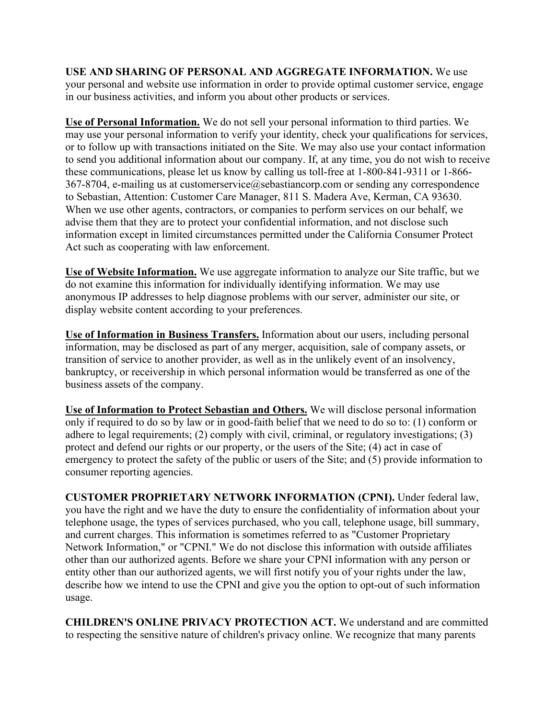**USE AND SHARING OF PERSONAL AND AGGREGATE INFORMATION.** We use your personal and website use information in order to provide optimal customer service, engage in our business activities, and inform you about other products or services.

**Use of Personal Information.** We do not sell your personal information to third parties. We may use your personal information to verify your identity, check your qualifications for services, or to follow up with transactions initiated on the Site. We may also use your contact information to send you additional information about our company. If, at any time, you do not wish to receive these communications, please let us know by calling us toll-free at 1-800-841-9311 or 1-866- 367-8704, e-mailing us at customerservice@sebastiancorp.com or sending any correspondence to Sebastian, Attention: Customer Care Manager, 811 S. Madera Ave, Kerman, CA 93630. When we use other agents, contractors, or companies to perform services on our behalf, we advise them that they are to protect your confidential information, and not disclose such information except in limited circumstances permitted under the California Consumer Protect Act such as cooperating with law enforcement.

**Use of Website Information.** We use aggregate information to analyze our Site traffic, but we do not examine this information for individually identifying information. We may use anonymous IP addresses to help diagnose problems with our server, administer our site, or display website content according to your preferences.

**Use of Information in Business Transfers.** Information about our users, including personal information, may be disclosed as part of any merger, acquisition, sale of company assets, or transition of service to another provider, as well as in the unlikely event of an insolvency, bankruptcy, or receivership in which personal information would be transferred as one of the business assets of the company.

**Use of Information to Protect Sebastian and Others.** We will disclose personal information only if required to do so by law or in good-faith belief that we need to do so to: (1) conform or adhere to legal requirements; (2) comply with civil, criminal, or regulatory investigations; (3) protect and defend our rights or our property, or the users of the Site; (4) act in case of emergency to protect the safety of the public or users of the Site; and (5) provide information to consumer reporting agencies.

**CUSTOMER PROPRIETARY NETWORK INFORMATION (CPNI).** Under federal law, you have the right and we have the duty to ensure the confidentiality of information about your telephone usage, the types of services purchased, who you call, telephone usage, bill summary, and current charges. This information is sometimes referred to as "Customer Proprietary Network Information," or "CPNI." We do not disclose this information with outside affiliates other than our authorized agents. Before we share your CPNI information with any person or entity other than our authorized agents, we will first notify you of your rights under the law, describe how we intend to use the CPNI and give you the option to opt-out of such information usage.

**CHILDREN'S ONLINE PRIVACY PROTECTION ACT.** We understand and are committed to respecting the sensitive nature of children's privacy online. We recognize that many parents